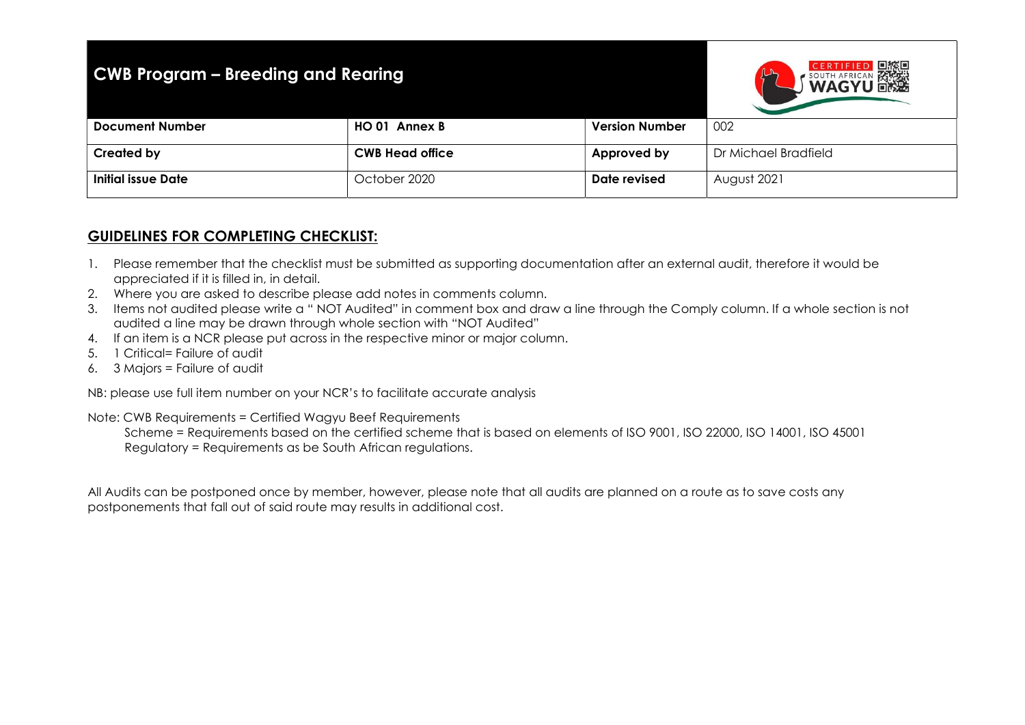## CWB Program – Breeding and Rearing



| <b>Version Number</b>                                   | 002                         |
|---------------------------------------------------------|-----------------------------|
|                                                         |                             |
|                                                         | Dr Michael Bradfield        |
|                                                         |                             |
|                                                         | August 2021                 |
|                                                         |                             |
| HO 01 Annex B<br><b>CWB Head office</b><br>October 2020 | Approved by<br>Date revised |

## GUIDELINES FOR COMPLETING CHECKLIST:

- 1. Please remember that the checklist must be submitted as supporting documentation after an external audit, therefore it would be appreciated if it is filled in, in detail.
- 2. Where you are asked to describe please add notes in comments column.
- 3. Items not audited please write a " NOT Audited" in comment box and draw a line through the Comply column. If a whole section is not audited a line may be drawn through whole section with "NOT Audited"
- 4. If an item is a NCR please put across in the respective minor or major column.
- 5. 1 Critical= Failure of audit
- 6. 3 Majors = Failure of audit

NB: please use full item number on your NCR's to facilitate accurate analysis

Note: CWB Requirements = Certified Wagyu Beef Requirements

 Scheme = Requirements based on the certified scheme that is based on elements of ISO 9001, ISO 22000, ISO 14001, ISO 45001 Regulatory = Requirements as be South African regulations.

All Audits can be postponed once by member, however, please note that all audits are planned on a route as to save costs any postponements that fall out of said route may results in additional cost.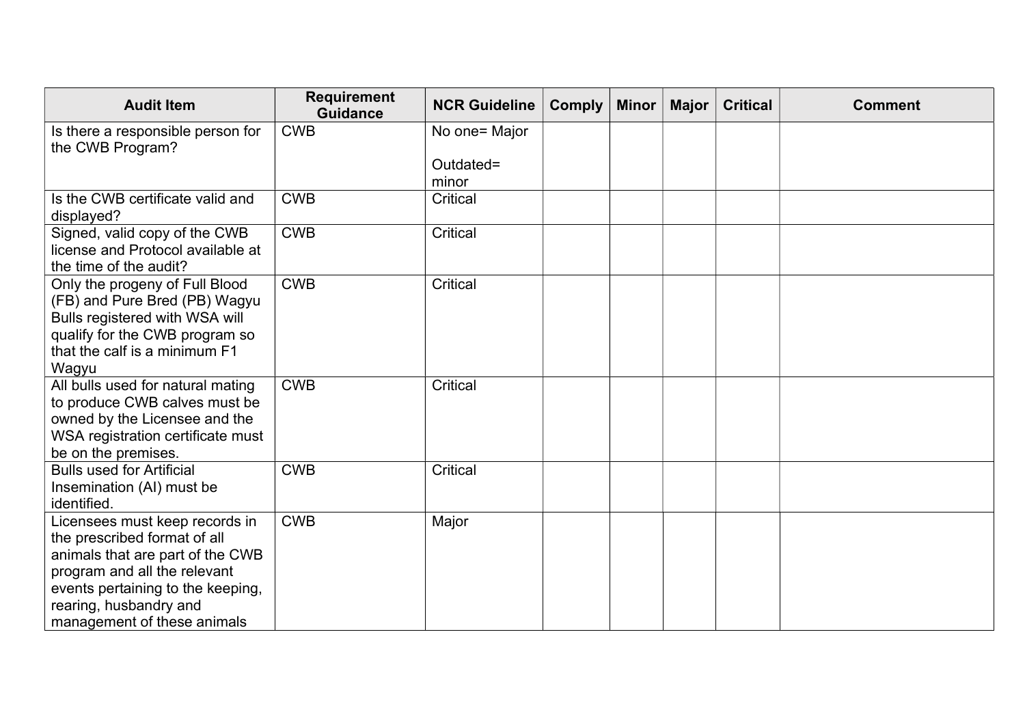| <b>Audit Item</b>                                                                                                                                                                                                                | <b>Requirement</b><br><b>Guidance</b> | <b>NCR Guideline</b> | <b>Comply</b> | <b>Minor</b> | Major | <b>Critical</b> | <b>Comment</b> |
|----------------------------------------------------------------------------------------------------------------------------------------------------------------------------------------------------------------------------------|---------------------------------------|----------------------|---------------|--------------|-------|-----------------|----------------|
| Is there a responsible person for<br>the CWB Program?                                                                                                                                                                            | <b>CWB</b>                            | No one= Major        |               |              |       |                 |                |
|                                                                                                                                                                                                                                  |                                       | Outdated=<br>minor   |               |              |       |                 |                |
| Is the CWB certificate valid and<br>displayed?                                                                                                                                                                                   | <b>CWB</b>                            | Critical             |               |              |       |                 |                |
| Signed, valid copy of the CWB<br>license and Protocol available at<br>the time of the audit?                                                                                                                                     | <b>CWB</b>                            | Critical             |               |              |       |                 |                |
| Only the progeny of Full Blood<br>(FB) and Pure Bred (PB) Wagyu<br>Bulls registered with WSA will<br>qualify for the CWB program so<br>that the calf is a minimum F1<br>Wagyu                                                    | <b>CWB</b>                            | Critical             |               |              |       |                 |                |
| All bulls used for natural mating<br>to produce CWB calves must be<br>owned by the Licensee and the<br>WSA registration certificate must<br>be on the premises.                                                                  | <b>CWB</b>                            | Critical             |               |              |       |                 |                |
| <b>Bulls used for Artificial</b><br>Insemination (AI) must be<br>identified.                                                                                                                                                     | <b>CWB</b>                            | Critical             |               |              |       |                 |                |
| Licensees must keep records in<br>the prescribed format of all<br>animals that are part of the CWB<br>program and all the relevant<br>events pertaining to the keeping,<br>rearing, husbandry and<br>management of these animals | <b>CWB</b>                            | Major                |               |              |       |                 |                |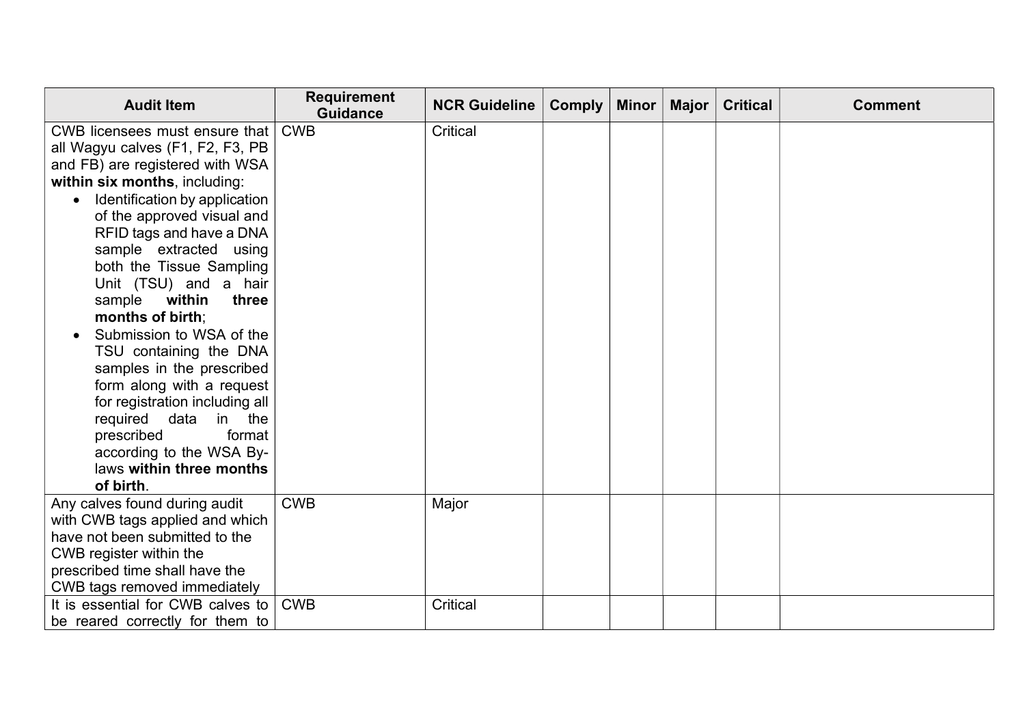| <b>Audit Item</b>                          | <b>Requirement</b><br><b>Guidance</b> | <b>NCR Guideline</b> | <b>Comply</b> | Minor | Major $ $ | <b>Critical</b> | <b>Comment</b> |
|--------------------------------------------|---------------------------------------|----------------------|---------------|-------|-----------|-----------------|----------------|
| CWB licensees must ensure that             | <b>CWB</b>                            | <b>Critical</b>      |               |       |           |                 |                |
| all Wagyu calves (F1, F2, F3, PB           |                                       |                      |               |       |           |                 |                |
| and FB) are registered with WSA            |                                       |                      |               |       |           |                 |                |
| within six months, including:              |                                       |                      |               |       |           |                 |                |
| Identification by application<br>$\bullet$ |                                       |                      |               |       |           |                 |                |
| of the approved visual and                 |                                       |                      |               |       |           |                 |                |
| RFID tags and have a DNA                   |                                       |                      |               |       |           |                 |                |
| sample extracted using                     |                                       |                      |               |       |           |                 |                |
| both the Tissue Sampling                   |                                       |                      |               |       |           |                 |                |
| Unit (TSU) and a hair                      |                                       |                      |               |       |           |                 |                |
| sample<br>within<br>three                  |                                       |                      |               |       |           |                 |                |
| months of birth;                           |                                       |                      |               |       |           |                 |                |
| Submission to WSA of the                   |                                       |                      |               |       |           |                 |                |
| TSU containing the DNA                     |                                       |                      |               |       |           |                 |                |
| samples in the prescribed                  |                                       |                      |               |       |           |                 |                |
| form along with a request                  |                                       |                      |               |       |           |                 |                |
| for registration including all             |                                       |                      |               |       |           |                 |                |
| required data<br>in the                    |                                       |                      |               |       |           |                 |                |
| format<br>prescribed                       |                                       |                      |               |       |           |                 |                |
| according to the WSA By-                   |                                       |                      |               |       |           |                 |                |
| laws within three months<br>of birth.      |                                       |                      |               |       |           |                 |                |
| Any calves found during audit              | <b>CWB</b>                            |                      |               |       |           |                 |                |
| with CWB tags applied and which            |                                       | Major                |               |       |           |                 |                |
| have not been submitted to the             |                                       |                      |               |       |           |                 |                |
| CWB register within the                    |                                       |                      |               |       |           |                 |                |
| prescribed time shall have the             |                                       |                      |               |       |           |                 |                |
| CWB tags removed immediately               |                                       |                      |               |       |           |                 |                |
| It is essential for CWB calves to          | <b>CWB</b>                            | Critical             |               |       |           |                 |                |
| be reared correctly for them to            |                                       |                      |               |       |           |                 |                |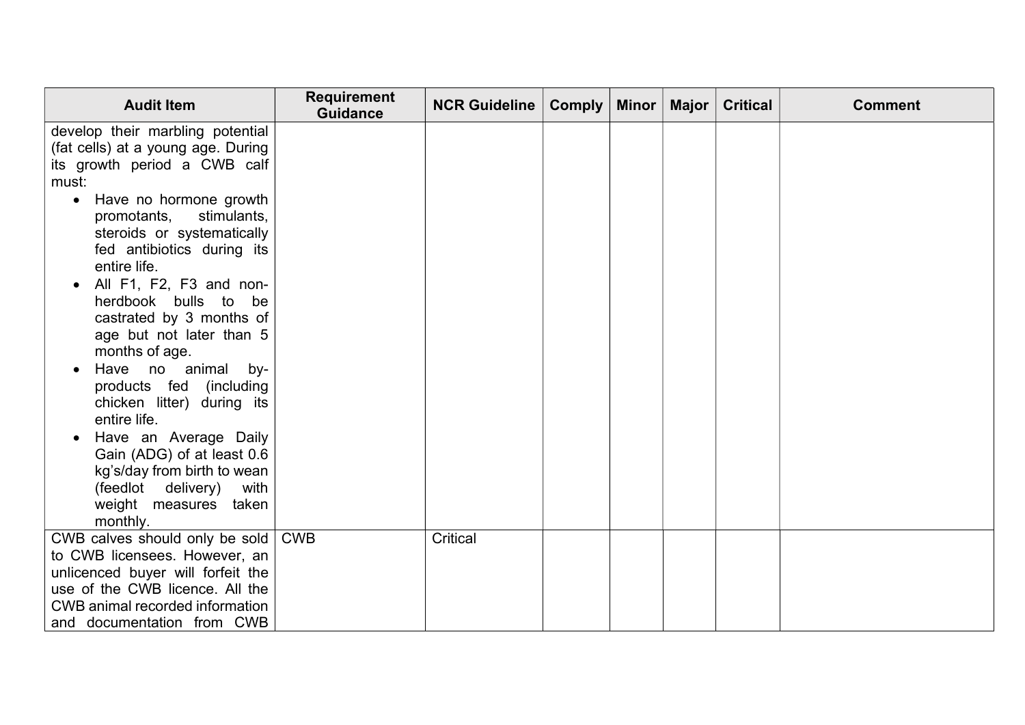| <b>Audit Item</b>                                               | <b>Requirement</b><br><b>Guidance</b> | <b>NCR Guideline</b> | <b>Comply</b> | Minor   Major | <b>Critical</b> | <b>Comment</b> |
|-----------------------------------------------------------------|---------------------------------------|----------------------|---------------|---------------|-----------------|----------------|
| develop their marbling potential                                |                                       |                      |               |               |                 |                |
| (fat cells) at a young age. During                              |                                       |                      |               |               |                 |                |
| its growth period a CWB calf                                    |                                       |                      |               |               |                 |                |
| must:                                                           |                                       |                      |               |               |                 |                |
| Have no hormone growth<br>$\bullet$                             |                                       |                      |               |               |                 |                |
| promotants,<br>stimulants,                                      |                                       |                      |               |               |                 |                |
| steroids or systematically                                      |                                       |                      |               |               |                 |                |
| fed antibiotics during its                                      |                                       |                      |               |               |                 |                |
| entire life.                                                    |                                       |                      |               |               |                 |                |
| All F1, F2, F3 and non-                                         |                                       |                      |               |               |                 |                |
| herdbook bulls to be                                            |                                       |                      |               |               |                 |                |
| castrated by 3 months of                                        |                                       |                      |               |               |                 |                |
| age but not later than 5                                        |                                       |                      |               |               |                 |                |
| months of age.                                                  |                                       |                      |               |               |                 |                |
| Have no animal<br>by-                                           |                                       |                      |               |               |                 |                |
| products fed (including                                         |                                       |                      |               |               |                 |                |
| chicken litter) during its                                      |                                       |                      |               |               |                 |                |
| entire life.                                                    |                                       |                      |               |               |                 |                |
| Have an Average Daily                                           |                                       |                      |               |               |                 |                |
| Gain (ADG) of at least 0.6                                      |                                       |                      |               |               |                 |                |
| kg's/day from birth to wean                                     |                                       |                      |               |               |                 |                |
| (feedlot delivery)<br>with                                      |                                       |                      |               |               |                 |                |
| weight measures taken                                           |                                       |                      |               |               |                 |                |
| monthly.                                                        | <b>CWB</b>                            | <b>Critical</b>      |               |               |                 |                |
| CWB calves should only be sold<br>to CWB licensees. However, an |                                       |                      |               |               |                 |                |
| unlicenced buyer will forfeit the                               |                                       |                      |               |               |                 |                |
| use of the CWB licence. All the                                 |                                       |                      |               |               |                 |                |
| CWB animal recorded information                                 |                                       |                      |               |               |                 |                |
| and documentation from CWB                                      |                                       |                      |               |               |                 |                |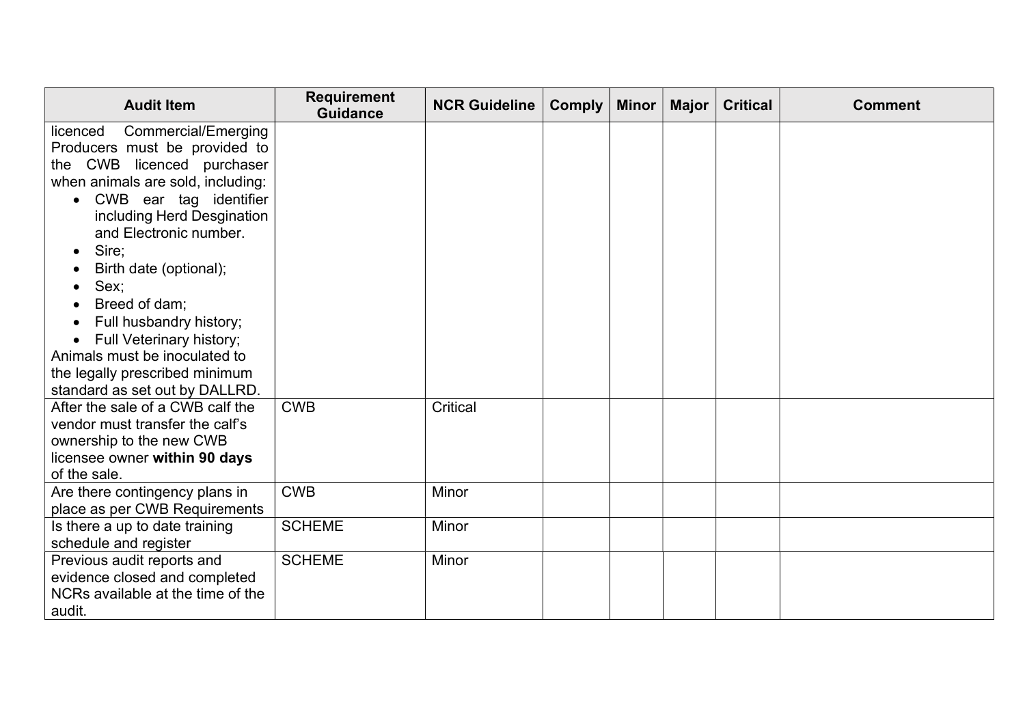| <b>Audit Item</b>                                                   | <b>Requirement</b><br><b>Guidance</b> | <b>NCR Guideline</b> | <b>Comply</b> | Minor | <b>Major</b> | <b>Critical</b> | <b>Comment</b> |
|---------------------------------------------------------------------|---------------------------------------|----------------------|---------------|-------|--------------|-----------------|----------------|
| <b>Commercial/Emerging</b><br>licenced                              |                                       |                      |               |       |              |                 |                |
| Producers must be provided to                                       |                                       |                      |               |       |              |                 |                |
| the CWB licenced purchaser                                          |                                       |                      |               |       |              |                 |                |
| when animals are sold, including:                                   |                                       |                      |               |       |              |                 |                |
| CWB ear tag identifier<br>$\bullet$                                 |                                       |                      |               |       |              |                 |                |
| including Herd Desgination                                          |                                       |                      |               |       |              |                 |                |
| and Electronic number.                                              |                                       |                      |               |       |              |                 |                |
| Sire;<br>$\bullet$                                                  |                                       |                      |               |       |              |                 |                |
| Birth date (optional);                                              |                                       |                      |               |       |              |                 |                |
| Sex;                                                                |                                       |                      |               |       |              |                 |                |
| Breed of dam;                                                       |                                       |                      |               |       |              |                 |                |
| Full husbandry history;                                             |                                       |                      |               |       |              |                 |                |
| Full Veterinary history;                                            |                                       |                      |               |       |              |                 |                |
| Animals must be inoculated to                                       |                                       |                      |               |       |              |                 |                |
| the legally prescribed minimum                                      |                                       |                      |               |       |              |                 |                |
| standard as set out by DALLRD.                                      |                                       |                      |               |       |              |                 |                |
| After the sale of a CWB calf the<br>vendor must transfer the calf's | <b>CWB</b>                            | Critical             |               |       |              |                 |                |
| ownership to the new CWB                                            |                                       |                      |               |       |              |                 |                |
| licensee owner within 90 days                                       |                                       |                      |               |       |              |                 |                |
| of the sale.                                                        |                                       |                      |               |       |              |                 |                |
| Are there contingency plans in                                      | <b>CWB</b>                            | Minor                |               |       |              |                 |                |
| place as per CWB Requirements                                       |                                       |                      |               |       |              |                 |                |
| Is there a up to date training                                      | <b>SCHEME</b>                         | Minor                |               |       |              |                 |                |
| schedule and register                                               |                                       |                      |               |       |              |                 |                |
| Previous audit reports and                                          | <b>SCHEME</b>                         | Minor                |               |       |              |                 |                |
| evidence closed and completed                                       |                                       |                      |               |       |              |                 |                |
| NCRs available at the time of the                                   |                                       |                      |               |       |              |                 |                |
| audit.                                                              |                                       |                      |               |       |              |                 |                |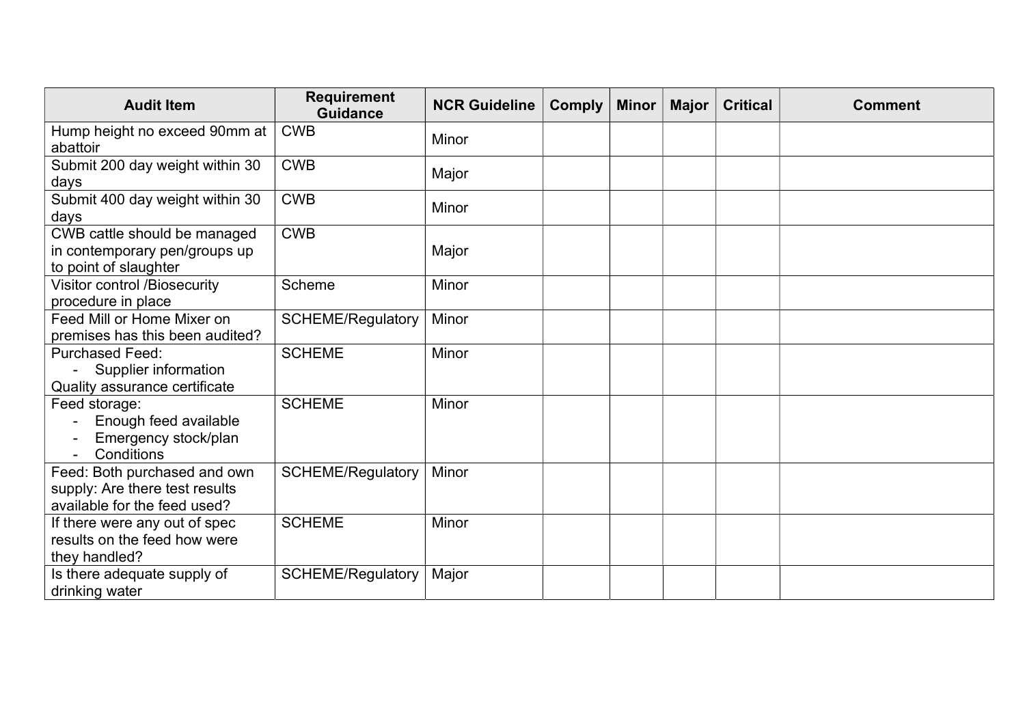| <b>Audit Item</b>                                                                              | <b>Requirement</b><br><b>Guidance</b> | <b>NCR Guideline</b> | <b>Comply</b> | <b>Minor</b> | Major | <b>Critical</b> | <b>Comment</b> |
|------------------------------------------------------------------------------------------------|---------------------------------------|----------------------|---------------|--------------|-------|-----------------|----------------|
| Hump height no exceed 90mm at<br>abattoir                                                      | <b>CWB</b>                            | Minor                |               |              |       |                 |                |
| Submit 200 day weight within 30<br>days                                                        | <b>CWB</b>                            | Major                |               |              |       |                 |                |
| Submit 400 day weight within 30<br>days                                                        | <b>CWB</b>                            | Minor                |               |              |       |                 |                |
| CWB cattle should be managed<br>in contemporary pen/groups up<br>to point of slaughter         | <b>CWB</b>                            | Major                |               |              |       |                 |                |
| <b>Visitor control /Biosecurity</b><br>procedure in place                                      | Scheme                                | Minor                |               |              |       |                 |                |
| Feed Mill or Home Mixer on<br>premises has this been audited?                                  | <b>SCHEME/Regulatory</b>              | Minor                |               |              |       |                 |                |
| <b>Purchased Feed:</b><br>Supplier information<br>Quality assurance certificate                | <b>SCHEME</b>                         | Minor                |               |              |       |                 |                |
| Feed storage:<br>Enough feed available<br>Emergency stock/plan<br>Conditions                   | <b>SCHEME</b>                         | Minor                |               |              |       |                 |                |
| Feed: Both purchased and own<br>supply: Are there test results<br>available for the feed used? | <b>SCHEME/Regulatory</b>              | Minor                |               |              |       |                 |                |
| If there were any out of spec<br>results on the feed how were<br>they handled?                 | <b>SCHEME</b>                         | Minor                |               |              |       |                 |                |
| Is there adequate supply of<br>drinking water                                                  | <b>SCHEME/Regulatory</b>              | Major                |               |              |       |                 |                |